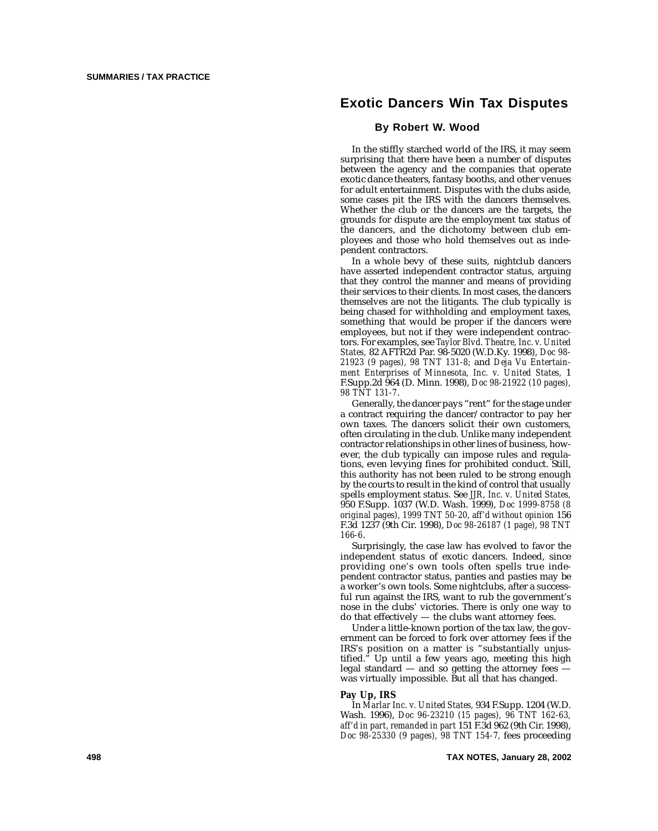# **Exotic Dancers Win Tax Disputes**

## **By Robert W. Wood**

In the stiffly starched world of the IRS, it may seem surprising that there have been a number of disputes between the agency and the companies that operate exotic dance theaters, fantasy booths, and other venues for adult entertainment. Disputes with the clubs aside, some cases pit the IRS with the dancers themselves. Whether the club or the dancers are the targets, the grounds for dispute are the employment tax status of the dancers, and the dichotomy between club employees and those who hold themselves out as independent contractors.

In a whole bevy of these suits, nightclub dancers have asserted independent contractor status, arguing that they control the manner and means of providing their services to their clients. In most cases, the dancers themselves are not the litigants. The club typically is being chased for withholding and employment taxes, something that would be proper if the dancers were employees, but not if they were independent contractors. For examples, see *Taylor Blvd. Theatre, Inc. v. United States,* 82 AFTR2d Par. 98-5020 (W.D.Ky. 1998), *Doc 98- 21923 (9 pages), 98 TNT 131-8;* and *Deja Vu Entertainment Enterprises of Minnesota, Inc. v. United States,* 1 F.Supp.2d 964 (D. Minn. 1998), *Doc 98-21922 (10 pages), 98 TNT 131-7* .

Generally, the dancer pays "rent " for the stage under a contract requiring the dancer/contractor to pay her own taxes. The dancers solicit their own customers, often circulating in the club. Unlike many independent contractor relationships in other lines of business, however, the club typically can impose rules and regulations, even levying fines for prohibited conduct. Still, this authority has not been ruled to be strong enough by the courts to result in the kind of control that usually spells employment status. See *JJR, Inc. v. United States,* 950 F.Supp. 1037 (W.D. Wash. 1999), *Doc 1999-8758 (8 original pages), 1999 TNT 50-20, aff'd without opinion* 156 F.3d 1237 (9th Cir. 1998), *Doc 98-26187 (1 page), 98 TNT 166-6*.

Surprisingly, the case law has evolved to favor the independent status of exotic dancers. Indeed, since providing one 's own tools often spells true independent contractor status, panties and pasties may be a worker 's own tools. Some nightclubs, after a successful run against the IRS, want to rub the government's nose in the clubs ' victories. There is only one way to do that effectively — the clubs want attorney fees.

Under a little-known portion of the tax law, the government can be forced to fork over attorney fees if the IRS 's position on a matter is "substantially unjustified." Up until a few years ago, meeting this high legal standard — and so getting the attorney fees was virtually impossible. But all that has changed.

#### **Pay Up, IRS**

In *Marlar Inc. v. United States,* 934 F.Supp. 1204 (W.D. Wash. 1996), *Doc 96-23210 (15 pages), 96 TNT 162-63, aff'd in part, remanded in part* 151 F.3d 962 (9th Cir. 1998), *Doc 98-25330 (9 pages), 98 TNT 154-7,* fees proceeding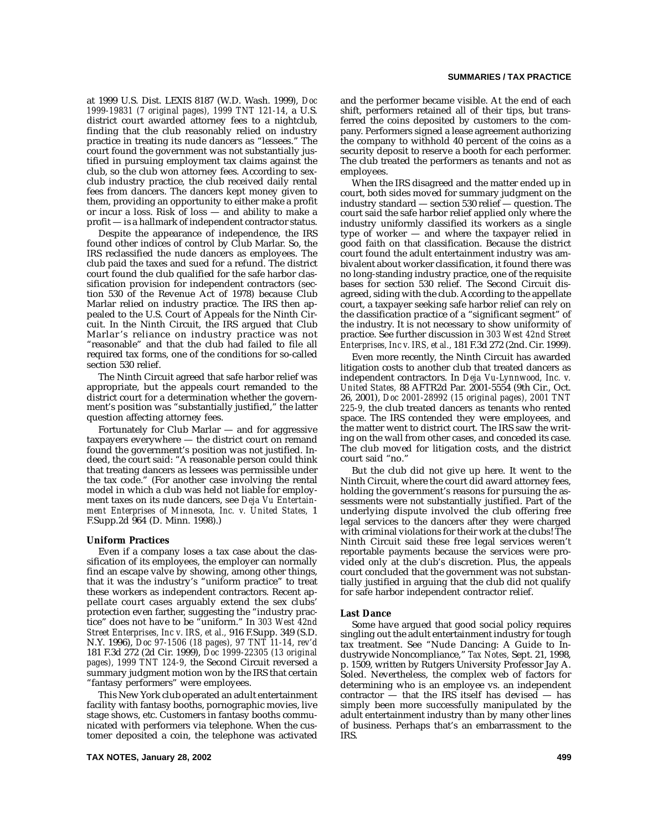at 1999 U.S. Dist. LEXIS 8187 (W.D. Wash. 1999), *Doc 1999-19831 (7 original pages), 1999 TNT 121-14,* a U.S. district court awarded attorney fees to a nightclub, finding that the club reasonably relied on industry practice in treating its nude dancers as "lessees." The court found the government was not substantially justified in pursuing employment tax claims against the club, so the club won attorney fees. According to sexclub industry practice, the club received daily rental fees from dancers. The dancers kept money given to them, providing an opportunity to either make a profit or incur a loss. Risk of loss — and ability to make a profit — is a hallmark of independent contractor status.

Despite the appearance of independence, the IRS found other indices of control by Club Marlar. So, the IRS reclassified the nude dancers as employees. The club paid the taxes and sued for a refund. The district court found the club qualified for the safe harbor classification provision for independent contractors (section 530 of the Revenue Act of 1978) because Club Marlar relied on industry practice. The IRS then appealed to the U.S. Court of Appeals for the Ninth Circuit. In the Ninth Circuit, the IRS argued that Club Marlar's reliance on industry practice was not "reasonable" and that the club had failed to file all required tax forms, one of the conditions for so-called section 530 relief.

The Ninth Circuit agreed that safe harbor relief was appropriate, but the appeals court remanded to the district court for a determination whether the government's position was "substantially justified," the latter question affecting attorney fees.

Fortunately for Club Marlar — and for aggressive taxpayers everywhere — the district court on remand found the government's position was not justified. Indeed, the court said: "A reasonable person could think that treating dancers as lessees was permissible under the tax code." (For another case involving the rental model in which a club was held not liable for employment taxes on its nude dancers, see *Deja Vu Entertainment Enterprises of Minnesota, Inc. v. United States,* 1 F.Supp.2d 964 (D. Minn. 1998).)

#### **Uniform Practices**

Even if a company loses a tax case about the classification of its employees, the employer can normally find an escape valve by showing, among other things, that it was the industry's "uniform practice" to treat these workers as independent contractors. Recent appellate court cases arguably extend the sex clubs' protection even farther, suggesting the "industry practice" does not have to be "uniform." In *303 West 42nd Street Enterprises, Inc v. IRS, et al.,* 916 F.Supp. 349 (S.D. N.Y. 1996), *Doc 97-1506 (18 pages), 97 TNT 11-14, rev'd* 181 F.3d 272 (2d Cir. 1999), *Doc 1999-22305 (13 original pages), 1999 TNT 124-9,* the Second Circuit reversed a summary judgment motion won by the IRS that certain "fantasy performers" were employees.

This New York club operated an adult entertainment facility with fantasy booths, pornographic movies, live stage shows, etc. Customers in fantasy booths communicated with performers via telephone. When the customer deposited a coin, the telephone was activated and the performer became visible. At the end of each shift, performers retained all of their tips, but transferred the coins deposited by customers to the company. Performers signed a lease agreement authorizing the company to withhold 40 percent of the coins as a security deposit to reserve a booth for each performer. The club treated the performers as tenants and not as employees.

When the IRS disagreed and the matter ended up in court, both sides moved for summary judgment on the industry standard — section 530 relief — question. The court said the safe harbor relief applied only where the industry uniformly classified its workers as a single type of worker — and where the taxpayer relied in good faith on that classification. Because the district court found the adult entertainment industry was ambivalent about worker classification, it found there was no long-standing industry practice, one of the requisite bases for section 530 relief. The Second Circuit disagreed, siding with the club. According to the appellate court, a taxpayer seeking safe harbor relief can rely on the classification practice of a "significant segment" of the industry. It is not necessary to show uniformity of practice. See further discussion in *303 West 42nd Street Enterprises, Inc v. IRS, et al.,* 181 F.3d 272 (2nd. Cir. 1999).

Even more recently, the Ninth Circuit has awarded litigation costs to another club that treated dancers as independent contractors. In *Deja Vu-Lynnwood, Inc. v. United States,* 88 AFTR2d Par. 2001-5554 (9th Cir., Oct. 26, 2001), *Doc 2001-28992 (15 original pages), 2001 TNT 225-9,* the club treated dancers as tenants who rented space. The IRS contended they were employees, and the matter went to district court. The IRS saw the writing on the wall from other cases, and conceded its case. The club moved for litigation costs, and the district court said "no."

But the club did not give up here. It went to the Ninth Circuit, where the court did award attorney fees, holding the government's reasons for pursuing the assessments were not substantially justified. Part of the underlying dispute involved the club offering free legal services to the dancers after they were charged with criminal violations for their work at the clubs! The Ninth Circuit said these free legal services weren't reportable payments because the services were provided only at the club's discretion. Plus, the appeals court concluded that the government was not substantially justified in arguing that the club did not qualify for safe harbor independent contractor relief.

#### **Last Dance**

Some have argued that good social policy requires singling out the adult entertainment industry for tough tax treatment. See "Nude Dancing: A Guide to Industrywide Noncompliance," *Tax Notes,* Sept. 21, 1998, p. 1509, written by Rutgers University Professor Jay A. Soled. Nevertheless, the complex web of factors for determining who is an employee vs. an independent contractor  $-$  that the IRS itself has devised  $-$  has simply been more successfully manipulated by the adult entertainment industry than by many other lines of business. Perhaps that's an embarrassment to the IRS.